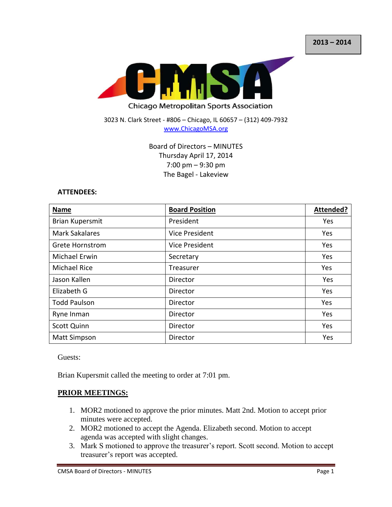

### 3023 N. Clark Street - #806 – Chicago, IL 60657 – (312) 409-7932 [www.ChicagoMSA.org](http://www.chicagomsa.org/)

## Board of Directors – MINUTES Thursday April 17, 2014 7:00 pm – 9:30 pm The Bagel - Lakeview

### **ATTENDEES:**

| <b>Name</b>            | <b>Board Position</b> | Attended? |
|------------------------|-----------------------|-----------|
| Brian Kupersmit        | President             | Yes       |
| <b>Mark Sakalares</b>  | <b>Vice President</b> | Yes       |
| <b>Grete Hornstrom</b> | Vice President        | Yes       |
| Michael Erwin          | Secretary             | Yes       |
| <b>Michael Rice</b>    | Treasurer             | Yes       |
| Jason Kallen           | Director              | Yes       |
| Elizabeth G            | Director              | Yes       |
| <b>Todd Paulson</b>    | Director              | Yes       |
| Ryne Inman             | Director              | Yes       |
| <b>Scott Quinn</b>     | Director              | Yes       |
| <b>Matt Simpson</b>    | Director              | Yes       |

Guests:

Brian Kupersmit called the meeting to order at 7:01 pm.

## **PRIOR MEETINGS:**

- 1. MOR2 motioned to approve the prior minutes. Matt 2nd. Motion to accept prior minutes were accepted.
- 2. MOR2 motioned to accept the Agenda. Elizabeth second. Motion to accept agenda was accepted with slight changes.
- 3. Mark S motioned to approve the treasurer's report. Scott second. Motion to accept treasurer's report was accepted.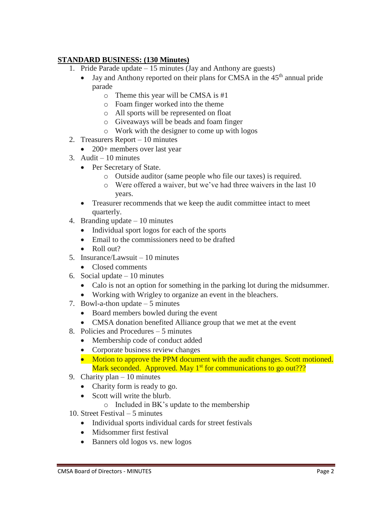# **STANDARD BUSINESS: (130 Minutes)**

- 1. Pride Parade update 15 minutes (Jay and Anthony are guests)
	- $\bullet$  Jay and Anthony reported on their plans for CMSA in the 45<sup>th</sup> annual pride parade
		- o Theme this year will be CMSA is #1
		- o Foam finger worked into the theme
		- o All sports will be represented on float
		- o Giveaways will be beads and foam finger
		- o Work with the designer to come up with logos
- 2. Treasurers Report 10 minutes
	- 200+ members over last year
- 3. Audit  $-10$  minutes
	- Per Secretary of State.
		- o Outside auditor (same people who file our taxes) is required.
		- o Were offered a waiver, but we've had three waivers in the last 10 years.
	- Treasurer recommends that we keep the audit committee intact to meet quarterly.
- 4. Branding update 10 minutes
	- Individual sport logos for each of the sports
	- Email to the commissioners need to be drafted
	- $\bullet$  Roll out?
- 5. Insurance/Lawsuit 10 minutes
	- Closed comments
- 6. Social update 10 minutes
	- Calo is not an option for something in the parking lot during the midsummer.
	- Working with Wrigley to organize an event in the bleachers.
- 7. Bowl-a-thon update 5 minutes
	- Board members bowled during the event
	- CMSA donation benefited Alliance group that we met at the event
- 8. Policies and Procedures 5 minutes
	- Membership code of conduct added
	- Corporate business review changes
	- Motion to approve the PPM document with the audit changes. Scott motioned. Mark seconded. Approved. May 1<sup>st</sup> for communications to go out???
- 9. Charity plan 10 minutes
	- Charity form is ready to go.
	- Scott will write the blurb.
		- o Included in BK's update to the membership
- 10. Street Festival 5 minutes
	- Individual sports individual cards for street festivals
	- Midsommer first festival
	- Banners old logos vs. new logos